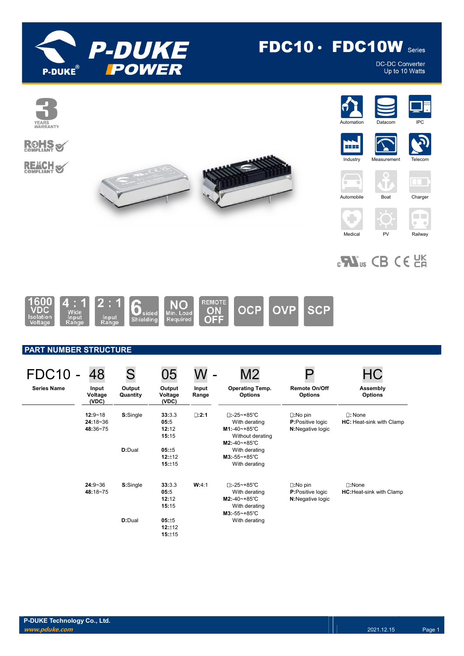

# FDC10 · FDC10W Series

DC-DC Converter<br>Up to 10 Watts



# $_{c}$ N<sub>us</sub> CB CE  $_{c}$ EK



# PART NUMBER STRUCTURE

| FDC <sub>10</sub>  | 48                                      | S                  | 05                               | -              | M2                                                                                                                |                                                                    |                                                    |
|--------------------|-----------------------------------------|--------------------|----------------------------------|----------------|-------------------------------------------------------------------------------------------------------------------|--------------------------------------------------------------------|----------------------------------------------------|
| <b>Series Name</b> | Input<br>Voltage<br>(VDC)               | Output<br>Quantity | Output<br>Voltage<br>(VDC)       | Input<br>Range | <b>Operating Temp.</b><br><b>Options</b>                                                                          | <b>Remote On/Off</b><br><b>Options</b>                             | Assembly<br><b>Options</b>                         |
|                    | $12:9 - 18$<br>$24:18 - 36$<br>48:36~75 | S:Single           | 33:3.3<br>05:5<br>12:12<br>15:15 | $\square:2:1$  | $\square$ :-25~+85°C<br>With derating<br>$M1: -40 - +85^{\circ}C$<br>Without derating<br>$M2: -40 - +85^{\circ}C$ | $\square:$ No pin<br><b>P:</b> Positive logic<br>N:Negative logic  | $\square$ : None<br>HC: Heat-sink with Clamp       |
|                    |                                         | D:Dual             | 05:±5<br>12:±12<br>15:±15        |                | With derating<br>$M3:-55-+85^{\circ}C$<br>With derating                                                           |                                                                    |                                                    |
|                    | $24:9 - 36$<br>48:18~75                 | S:Single           | 33:3.3<br>05:5<br>12:12<br>15:15 | W:4:1          | $\square$ :-25~+85°C<br>With derating<br>$M2: -40 - +85^{\circ}C$<br>With derating<br>$M3:-55-+85^{\circ}C$       | $\square$ : No pin<br><b>P:</b> Positive logic<br>N:Negative logic | $\square:$ None<br><b>HC:</b> Heat-sink with Clamp |
|                    |                                         | D:Dual             | 05:±5<br>12:±12<br>15:±15        |                | With derating                                                                                                     |                                                                    |                                                    |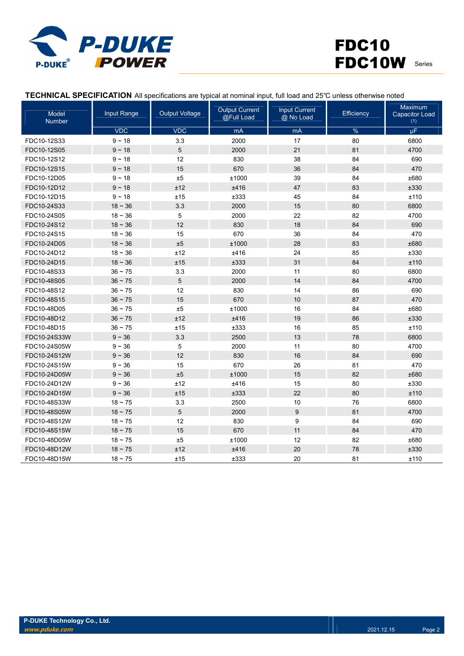

# FDC10 FDC10W Series

| TECHNICAL SPECIFICATION All specifications are typical at nominal input, full load and 25°C unless otherwise noted |  |  |  |  |
|--------------------------------------------------------------------------------------------------------------------|--|--|--|--|
|--------------------------------------------------------------------------------------------------------------------|--|--|--|--|

| Model<br><b>Number</b> | Input Range | <b>Output Voltage</b> | <b>Output Current</b><br>@Full Load | <b>Input Current</b><br>@ No Load | Efficiency | <b>Maximum</b><br><b>Capacitor Load</b><br>(1) |
|------------------------|-------------|-----------------------|-------------------------------------|-----------------------------------|------------|------------------------------------------------|
|                        | <b>VDC</b>  | <b>VDC</b>            | mA                                  | mA                                | %          | μF                                             |
| FDC10-12S33            | $9 - 18$    | 3.3                   | 2000                                | 17                                | 80         | 6800                                           |
| FDC10-12S05            | $9 - 18$    | $\sqrt{5}$            | 2000                                | 21                                | 81         | 4700                                           |
| FDC10-12S12            | $9 - 18$    | 12                    | 830                                 | 38                                | 84         | 690                                            |
| FDC10-12S15            | $9 - 18$    | 15                    | 670                                 | 36                                | 84         | 470                                            |
| FDC10-12D05            | $9 - 18$    | ±5                    | ±1000                               | 39                                | 84         | ±680                                           |
| FDC10-12D12            | $9 - 18$    | ±12                   | ±416                                | 47                                | 83         | ±330                                           |
| FDC10-12D15            | $9 - 18$    | ±15                   | ±333                                | 45                                | 84         | ±110                                           |
| FDC10-24S33            | $18 - 36$   | 3.3                   | 2000                                | 15                                | 80         | 6800                                           |
| FDC10-24S05            | $18 - 36$   | 5                     | 2000                                | 22                                | 82         | 4700                                           |
| FDC10-24S12            | $18 - 36$   | 12                    | 830                                 | 18                                | 84         | 690                                            |
| FDC10-24S15            | $18 - 36$   | 15                    | 670                                 | 36                                | 84         | 470                                            |
| FDC10-24D05            | $18 - 36$   | ±5                    | ±1000                               | 28                                | 83         | ±680                                           |
| FDC10-24D12            | $18 - 36$   | ±12                   | ±416                                | 24                                | 85         | ±330                                           |
| FDC10-24D15            | $18 - 36$   | ±15                   | ±333                                | 31                                | 84         | ±110                                           |
| FDC10-48S33            | $36 - 75$   | 3.3                   | 2000                                | 11                                | 80         | 6800                                           |
| FDC10-48S05            | $36 - 75$   | 5                     | 2000                                | 14                                | 84         | 4700                                           |
| FDC10-48S12            | $36 - 75$   | 12                    | 830                                 | 14                                | 86         | 690                                            |
| FDC10-48S15            | $36 - 75$   | 15                    | 670                                 | 10                                | 87         | 470                                            |
| FDC10-48D05            | $36 - 75$   | $\pm 5$               | ±1000                               | 16                                | 84         | ±680                                           |
| FDC10-48D12            | $36 - 75$   | ±12                   | ±416                                | 19                                | 86         | ±330                                           |
| FDC10-48D15            | $36 - 75$   | ±15                   | ±333                                | 16                                | 85         | ±110                                           |
| FDC10-24S33W           | $9 - 36$    | 3.3                   | 2500                                | 13                                | 78         | 6800                                           |
| FDC10-24S05W           | $9 - 36$    | 5                     | 2000                                | 11                                | 80         | 4700                                           |
| FDC10-24S12W           | $9 - 36$    | 12                    | 830                                 | 16                                | 84         | 690                                            |
| FDC10-24S15W           | $9 - 36$    | 15                    | 670                                 | 26                                | 81         | 470                                            |
| FDC10-24D05W           | $9 - 36$    | $\pm 5$               | ±1000                               | 15                                | 82         | ±680                                           |
| FDC10-24D12W           | $9 - 36$    | ±12                   | ±416                                | 15                                | 80         | ±330                                           |
| FDC10-24D15W           | $9 - 36$    | ±15                   | ±333                                | 22                                | 80         | ±110                                           |
| FDC10-48S33W           | $18 - 75$   | 3.3                   | 2500                                | 10                                | 76         | 6800                                           |
| FDC10-48S05W           | $18 - 75$   | 5                     | 2000                                | 9                                 | 81         | 4700                                           |
| FDC10-48S12W           | $18 - 75$   | 12                    | 830                                 | 9                                 | 84         | 690                                            |
| FDC10-48S15W           | $18 - 75$   | 15                    | 670                                 | 11                                | 84         | 470                                            |
| FDC10-48D05W           | $18 - 75$   | ±5                    | ±1000                               | 12                                | 82         | ±680                                           |
| FDC10-48D12W           | $18 - 75$   | ±12                   | ±416                                | 20                                | 78         | ±330                                           |
| FDC10-48D15W           | $18 - 75$   | ±15                   | ±333                                | 20                                | 81         | ±110                                           |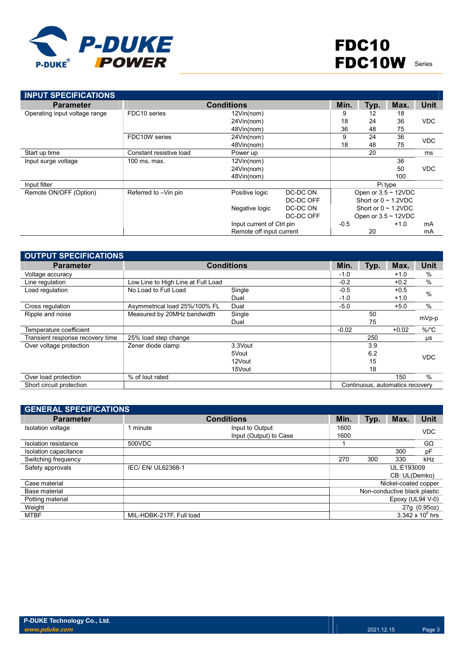

| <b>INPUT SPECIFICATIONS</b>   |                         |                           |           |        |      |                           |             |
|-------------------------------|-------------------------|---------------------------|-----------|--------|------|---------------------------|-------------|
| <b>Parameter</b>              |                         | <b>Conditions</b>         |           | Min.   | Typ. | Max.                      | <b>Unit</b> |
| Operating input voltage range | FDC10 series            | 12Vin(nom)                |           | 9      | 12   | 18                        |             |
|                               |                         | 24Vin(nom)                |           | 18     | 24   | 36                        | <b>VDC</b>  |
|                               |                         | 48Vin(nom)                |           | 36     | 48   | 75                        |             |
|                               | FDC10W series           | 24Vin(nom)                |           | 9      | 24   | 36                        | <b>VDC</b>  |
|                               |                         | 48Vin(nom)                |           | 18     | 48   | 75                        |             |
| Start up time                 | Constant resistive load | Power up                  |           |        | 20   |                           | ms          |
| Input surge voltage           | 100 ms, max.            | 12Vin(nom)                |           |        |      | 36                        |             |
|                               |                         | 24Vin(nom)                |           |        |      | 50                        | <b>VDC</b>  |
|                               |                         | 48Vin(nom)                |           |        |      | 100                       |             |
| Input filter                  |                         |                           |           |        |      | Pi type                   |             |
| Remote ON/OFF (Option)        | Referred to -Vin pin    | Positive logic            | DC-DC ON  |        |      | Open or $3.5 \sim 12$ VDC |             |
|                               |                         |                           | DC-DC OFF |        |      | Short or $0 \sim 1.2$ VDC |             |
|                               |                         | Negative logic            | DC-DC ON  |        |      | Short or $0 \sim 1.2$ VDC |             |
|                               |                         |                           | DC-DC OFF |        |      | Open or $3.5 \sim 12$ VDC |             |
|                               |                         | Input current of Ctrl pin |           | $-0.5$ |      | $+1.0$                    | mA          |
|                               |                         | Remote off input current  |           |        | 20   |                           | mA          |

| <b>OUTPUT SPECIFICATIONS</b>     |                                    |         |         |      |                                 |                      |
|----------------------------------|------------------------------------|---------|---------|------|---------------------------------|----------------------|
| <b>Parameter</b>                 | <b>Conditions</b>                  |         |         | Typ. | Max.                            | Unit                 |
| Voltage accuracy                 |                                    |         | $-1.0$  |      | $+1.0$                          | $\%$                 |
| Line regulation                  | Low Line to High Line at Full Load |         | $-0.2$  |      | $+0.2$                          | $\frac{0}{0}$        |
| Load regulation                  | No Load to Full Load               | Single  | $-0.5$  |      | $+0.5$                          | $\frac{0}{0}$        |
|                                  |                                    | Dual    | $-1.0$  |      | $+1.0$                          |                      |
| Cross regulation                 | Asymmetrical load 25%/100% FL      | Dual    | $-5.0$  |      | $+5.0$                          | %                    |
| Ripple and noise                 | Measured by 20MHz bandwidth        | Single  |         | 50   |                                 | mVp-p                |
|                                  |                                    | Dual    |         | 75   |                                 |                      |
| Temperature coefficient          |                                    |         | $-0.02$ |      | $+0.02$                         | $%$ / ${}^{\circ}$ C |
| Transient response recovery time | 25% load step change               |         |         | 250  |                                 | μs                   |
| Over voltage protection          | Zener diode clamp                  | 3.3Vout |         | 3.9  |                                 |                      |
|                                  |                                    | 5Vout   |         | 6.2  |                                 | <b>VDC</b>           |
|                                  |                                    | 12Vout  |         | 15   |                                 |                      |
|                                  |                                    | 15Vout  |         | 18   |                                 |                      |
| Over load protection             | % of lout rated                    |         |         |      | 150                             | $\frac{0}{0}$        |
| Short circuit protection         |                                    |         |         |      | Continuous, automatics recovery |                      |

| <b>GENERAL SPECIFICATIONS</b> |                          |                                           |                              |      |                      |                         |
|-------------------------------|--------------------------|-------------------------------------------|------------------------------|------|----------------------|-------------------------|
| <b>Parameter</b>              |                          | <b>Conditions</b>                         | Min.                         | Typ. | Max.                 | <b>Unit</b>             |
| Isolation voltage             | 1 minute                 | Input to Output<br>Input (Output) to Case | 1600<br>1600                 |      |                      | <b>VDC</b>              |
| Isolation resistance          | 500VDC                   |                                           |                              |      |                      | $G\Omega$               |
| Isolation capacitance         |                          |                                           |                              |      | 300                  | pF                      |
| Switching frequency           |                          |                                           | 270                          | 300  | 330                  | kHz                     |
| Safety approvals              | IEC/ EN/ UL62368-1       |                                           |                              |      | UL:E193009           |                         |
|                               |                          |                                           |                              |      | CB: UL(Demko)        |                         |
| Case material                 |                          |                                           |                              |      | Nickel-coated copper |                         |
| Base material                 |                          |                                           | Non-conductive black plastic |      |                      |                         |
| Potting material              |                          |                                           |                              |      | Epoxy (UL94 $V-0$ )  |                         |
| Weight                        |                          |                                           |                              |      |                      | 27g (0.95oz)            |
| MTBF                          | MIL-HDBK-217F, Full load |                                           |                              |      |                      | $3.342 \times 10^6$ hrs |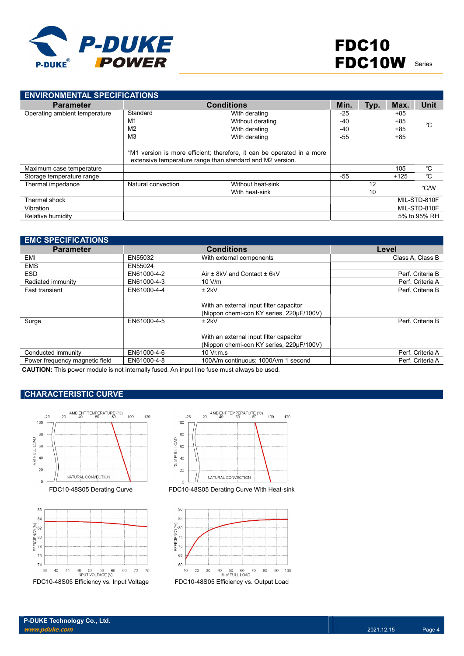

| <b>ENVIRONMENTAL SPECIFICATIONS</b> |                    |                                                                                                                                     |       |      |        |              |
|-------------------------------------|--------------------|-------------------------------------------------------------------------------------------------------------------------------------|-------|------|--------|--------------|
| <b>Parameter</b>                    |                    | <b>Conditions</b>                                                                                                                   | Min.  | Typ. | Max.   | Unit         |
| Operating ambient temperature       | Standard           | With derating                                                                                                                       | $-25$ |      | $+85$  |              |
|                                     | M1                 | Without derating                                                                                                                    | $-40$ |      | $+85$  | °C           |
|                                     | M <sub>2</sub>     | With derating                                                                                                                       | $-40$ |      | $+85$  |              |
|                                     | M3                 | With derating                                                                                                                       | $-55$ |      | $+85$  |              |
|                                     |                    | *M1 version is more efficient; therefore, it can be operated in a more<br>extensive temperature range than standard and M2 version. |       |      |        |              |
| Maximum case temperature            |                    |                                                                                                                                     |       |      | 105    | °C           |
| Storage temperature range           |                    |                                                                                                                                     | -55   |      | $+125$ | $^{\circ}C$  |
| Thermal impedance                   | Natural convection | Without heat-sink                                                                                                                   |       | 12   |        | °C/W         |
|                                     |                    | With heat-sink                                                                                                                      |       | 10   |        |              |
| Thermal shock                       |                    |                                                                                                                                     |       |      |        | MIL-STD-810F |
| Vibration                           |                    |                                                                                                                                     |       |      |        | MIL-STD-810F |
| Relative humidity                   |                    |                                                                                                                                     |       |      |        | 5% to 95% RH |

| <b>EMC SPECIFICATIONS</b>      |             |                                          |                  |
|--------------------------------|-------------|------------------------------------------|------------------|
| <b>Parameter</b>               |             | <b>Conditions</b>                        | Level            |
| EMI                            | EN55032     | With external components                 | Class A. Class B |
| <b>EMS</b>                     | EN55024     |                                          |                  |
| <b>ESD</b>                     | EN61000-4-2 | Air $\pm$ 8kV and Contact $\pm$ 6kV      | Perf. Criteria B |
| Radiated immunity              | EN61000-4-3 | 10 V/m                                   | Perf. Criteria A |
| <b>Fast transient</b>          | EN61000-4-4 | $±$ 2kV                                  | Perf. Criteria B |
|                                |             |                                          |                  |
|                                |             | With an external input filter capacitor  |                  |
|                                |             | (Nippon chemi-con KY series, 220µF/100V) |                  |
| Surge                          | EN61000-4-5 | $±$ 2kV                                  | Perf. Criteria B |
|                                |             |                                          |                  |
|                                |             | With an external input filter capacitor  |                  |
|                                |             | (Nippon chemi-con KY series, 220µF/100V) |                  |
| Conducted immunity             | EN61000-4-6 | $10 \,$ Vr.m.s                           | Perf. Criteria A |
| Power frequency magnetic field | EN61000-4-8 | 100A/m continuous; 1000A/m 1 second      | Perf. Criteria A |

CAUTION: This power module is not internally fused. An input line fuse must always be used.

# CHARACTERISTIC CURVE







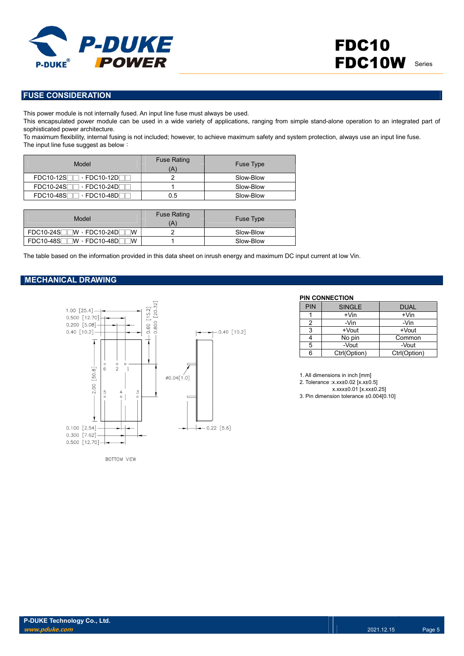

### FUSE CONSIDERATION

This power module is not internally fused. An input line fuse must always be used.

This encapsulated power module can be used in a wide variety of applications, ranging from simple stand-alone operation to an integrated part of sophisticated power architecture.

To maximum flexibility, internal fusing is not included; however, to achieve maximum safety and system protection, always use an input line fuse. The input line fuse suggest as below:

| Model                                                | <b>Fuse Rating</b> | Fuse Type |
|------------------------------------------------------|--------------------|-----------|
|                                                      |                    | Slow-Blow |
| $FDC10-24S$<br>$\cdot$ FDC10-24DF                    |                    | Slow-Blow |
| $\cdot$ FDC10-48D $\bar{\phantom{a}}$<br>$FDC10-48S$ | ე.5                | Slow-Blow |

| Model                                       | <b>Fuse Rating</b><br>'A) | <b>Fuse Type</b> |
|---------------------------------------------|---------------------------|------------------|
| $FDC10-24S$ $W \cdot FDC10-24D$<br><b>W</b> |                           | Slow-Blow        |
| $FDC10-48S$ $W \cdot FDC10-48D$<br>W        |                           | Slow-Blow        |

The table based on the information provided in this data sheet on inrush energy and maximum DC input current at low Vin.

#### MECHANICAL DRAWING



BOTTOM VIEW

#### PIN CONNECTION

| <b>PIN</b> | <b>SINGLE</b> | <b>DUAL</b>  |
|------------|---------------|--------------|
|            | $+V$ in       | $+V$ in      |
|            | -Vin          | -Vin         |
| 2          | +Vout         | +Vout        |
|            | No pin        | Common       |
| 5          | -Vout         | -Vout        |
|            | Ctrl(Option)  | Ctrl(Option) |

1. All dimensions in inch [mm]

2. Tolerance :x.xx±0.02 [x.x±0.5]

x.xxx±0.01 [x.xx±0.25]

3. Pin dimension tolerance ±0.004[0.10]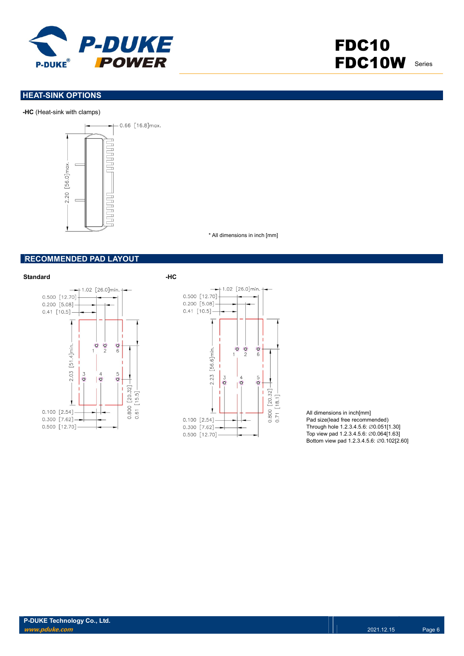

# FDC10 FDC10W Series

## **HEAT-SINK OPTIONS**

#### -HC (Heat-sink with clamps)



\* All dimensions in inch [mm]

#### RECOMMENDED PAD LAYOUT





All dimensions in inch[mm] Pad size(lead free recommended) Through hole 1.2.3.4.5.6: ∅0.051[1.30] Top view pad 1.2.3.4.5.6: ∅0.064[1.63] Bottom view pad 1.2.3.4.5.6: ∅0.102[2.60]